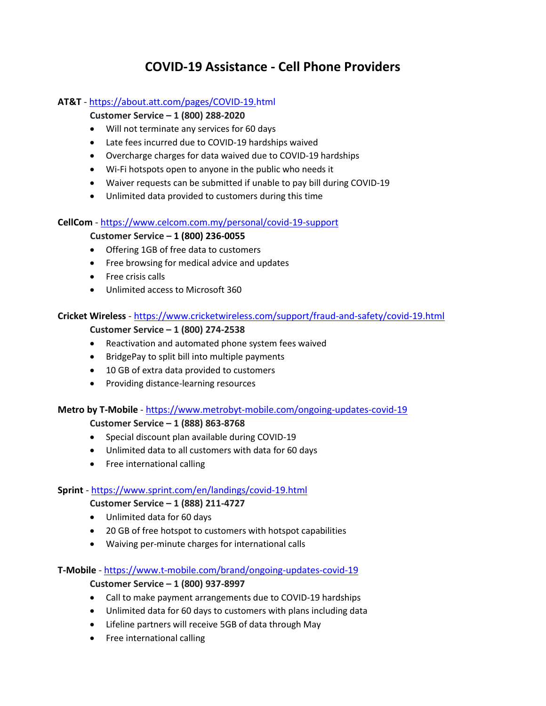# **COVID-19 Assistance - Cell Phone Providers**

### **AT&T** - <https://about.att.com/pages/COVID-19.html>

# **Customer Service – 1 (800) 288-2020**

- Will not terminate any services for 60 days
- Late fees incurred due to COVID-19 hardships waived
- Overcharge charges for data waived due to COVID-19 hardships
- Wi-Fi hotspots open to anyone in the public who needs it
- Waiver requests can be submitted if unable to pay bill during COVID-19
- Unlimited data provided to customers during this time

#### **CellCom** - <https://www.celcom.com.my/personal/covid-19-support>

#### **Customer Service – 1 (800) 236-0055**

- Offering 1GB of free data to customers
- Free browsing for medical advice and updates
- Free crisis calls
- Unlimited access to Microsoft 360

#### **Cricket Wireless** - <https://www.cricketwireless.com/support/fraud-and-safety/covid-19.html>

#### **Customer Service – 1 (800) 274-2538**

- Reactivation and automated phone system fees waived
- BridgePay to split bill into multiple payments
- 10 GB of extra data provided to customers
- Providing distance-learning resources

#### **Metro by T-Mobile** - <https://www.metrobyt-mobile.com/ongoing-updates-covid-19>

**Customer Service – 1 (888) 863-8768**

- Special discount plan available during COVID-19
- Unlimited data to all customers with data for 60 days
- Free international calling

#### **Sprint** - <https://www.sprint.com/en/landings/covid-19.html>

#### **Customer Service – 1 (888) 211-4727**

- Unlimited data for 60 days
- 20 GB of free hotspot to customers with hotspot capabilities
- Waiving per-minute charges for international calls

# **T-Mobile** - <https://www.t-mobile.com/brand/ongoing-updates-covid-19>

# **Customer Service – 1 (800) 937-8997**

- Call to make payment arrangements due to COVID-19 hardships
- Unlimited data for 60 days to customers with plans including data
- Lifeline partners will receive 5GB of data through May
- Free international calling